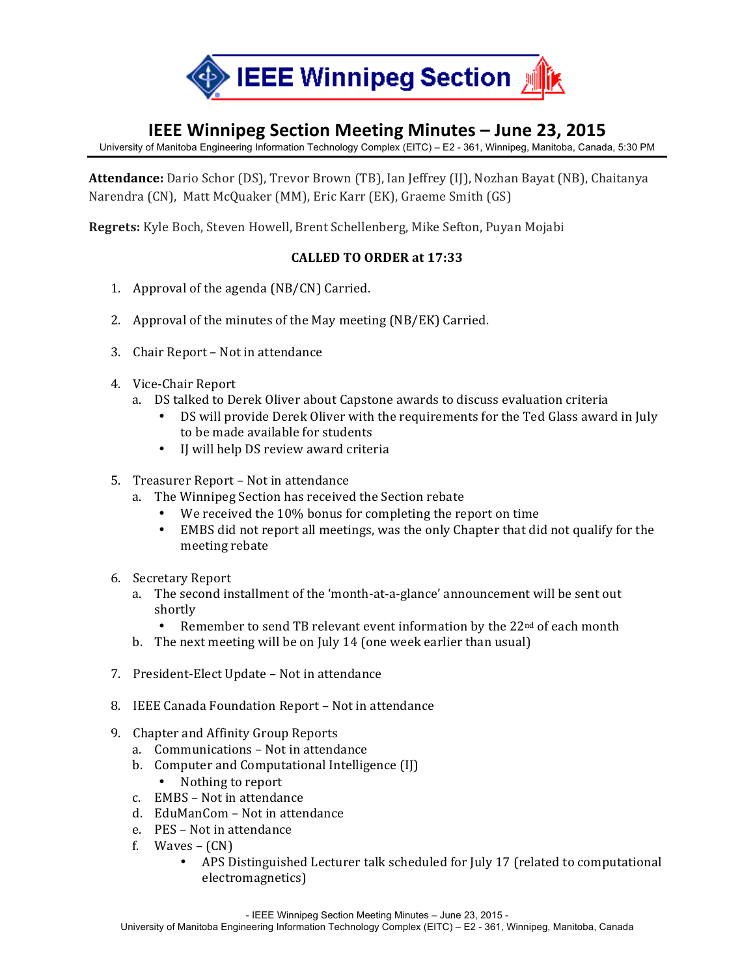

## **IEEE Winnipeg Section Meeting Minutes – June 23, 2015**

University of Manitoba Engineering Information Technology Complex (EITC) – E2 - 361, Winnipeg, Manitoba, Canada, 5:30 PM

**Attendance:** Dario Schor (DS), Trevor Brown (TB), Ian Jeffrey (IJ), Nozhan Bayat (NB), Chaitanya Narendra (CN), Matt McQuaker (MM), Eric Karr (EK), Graeme Smith (GS)

**Regrets:** Kyle Boch, Steven Howell, Brent Schellenberg, Mike Sefton, Puyan Mojabi

## **CALLED)TO)ORDER at 17:33**

- 1. Approval of the agenda  $(NB/CN)$  Carried.
- 2. Approval of the minutes of the May meeting  $(NB/EK)$  Carried.
- 3. Chair Report Not in attendance
- 4. Vice-Chair Report
	- a. DS talked to Derek Oliver about Capstone awards to discuss evaluation criteria
		- DS will provide Derek Oliver with the requirements for the Ted Glass award in July to be made available for students
		- IJ will help DS review award criteria
- 5. Treasurer Report Not in attendance
	- a. The Winnipeg Section has received the Section rebate
		- We received the 10% bonus for completing the report on time
		- EMBS did not report all meetings, was the only Chapter that did not qualify for the meeting rebate
- 6. Secretary Report
	- a. The second installment of the 'month-at-a-glance' announcement will be sent out shortly
		- Remember to send TB relevant event information by the 22<sup>nd</sup> of each month
	- b. The next meeting will be on July 14 (one week earlier than usual)
- 7. President-Elect Update Not in attendance
- 8. IEEE Canada Foundation Report Not in attendance
- 9. Chapter and Affinity Group Reports
	- a. Communications Not in attendance
	- b. Computer and Computational Intelligence (IJ)
		- Nothing to report
	- c. EMBS Not in attendance
	- d. EduManCom Not in attendance
	- e. PES Not in attendance
	- f. Waves  $(CN)$ 
		- APS Distinguished Lecturer talk scheduled for July 17 (related to computational electromagnetics)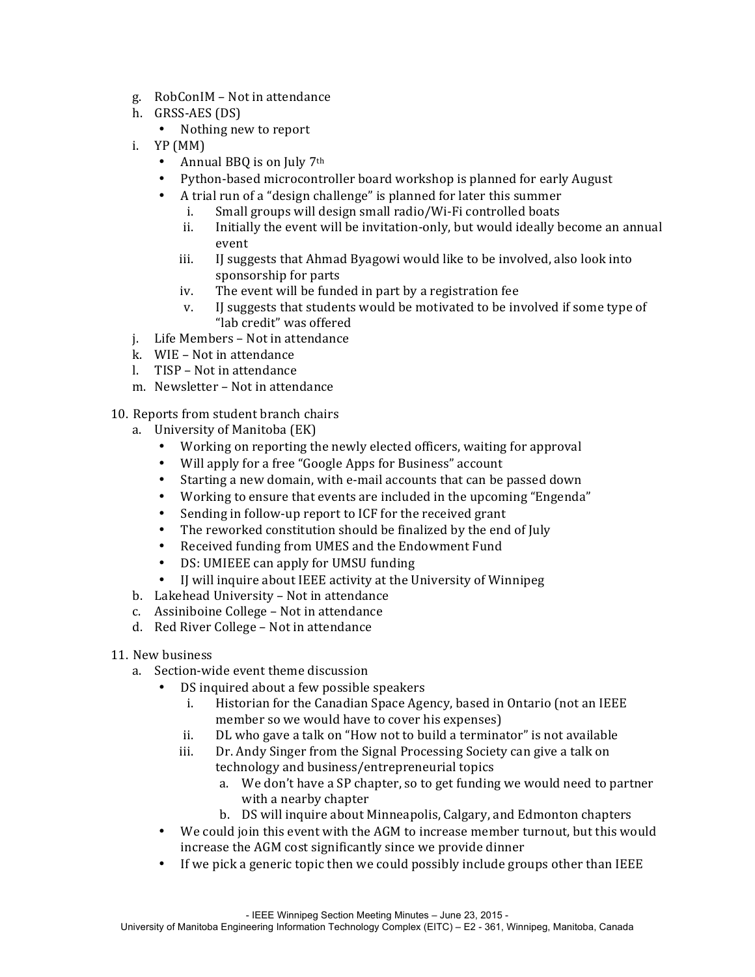- g. RobConIM Not in attendance
- h. GRSS-AES (DS)
	- Nothing new to report
- i.  $YP(MM)$ 
	- Annual BBQ is on July  $7<sup>th</sup>$
	- Python-based microcontroller board workshop is planned for early August
	- A trial run of a "design challenge" is planned for later this summer
		- i. Small groups will design small radio/Wi-Fi controlled boats
		- ii. Initially the event will be invitation-only, but would ideally become an annual event
		- iii. I suggests that Ahmad Byagowi would like to be involved, also look into sponsorship for parts
		- iv. The event will be funded in part by a registration fee
		- v. IJ suggests that students would be motivated to be involved if some type of "lab credit" was offered
- j. Life Members Not in attendance
- k. WIE Not in attendance
- l. TISP Not in attendance
- m. Newsletter Not in attendance

## 10. Reports from student branch chairs

- a. University of Manitoba (EK)
	- Working on reporting the newly elected officers, waiting for approval
	- Will apply for a free "Google Apps for Business" account
	- Starting a new domain, with e-mail accounts that can be passed down
	- Working to ensure that events are included in the upcoming "Engenda"
	- Sending in follow-up report to ICF for the received grant
	- The reworked constitution should be finalized by the end of July
	- Received funding from UMES and the Endowment Fund
	- DS: UMIEEE can apply for UMSU funding
	- IJ will inquire about IEEE activity at the University of Winnipeg
- b. Lakehead University Not in attendance
- c. Assiniboine College Not in attendance
- d. Red River College Not in attendance
- 11. New business
	- a. Section-wide event theme discussion
		- DS inquired about a few possible speakers
			- i. Historian for the Canadian Space Agency, based in Ontario (not an IEEE member so we would have to cover his expenses)
			- ii.  $D<sub>L</sub>$  who gave a talk on "How not to build a terminator" is not available
			- iii. Dr. Andy Singer from the Signal Processing Society can give a talk on technology and business/entrepreneurial topics
				- a. We don't have a SP chapter, so to get funding we would need to partner with a nearby chapter
				- b. DS will inquire about Minneapolis, Calgary, and Edmonton chapters
		- We could join this event with the AGM to increase member turnout, but this would increase the AGM cost significantly since we provide dinner
		- If we pick a generic topic then we could possibly include groups other than IEEE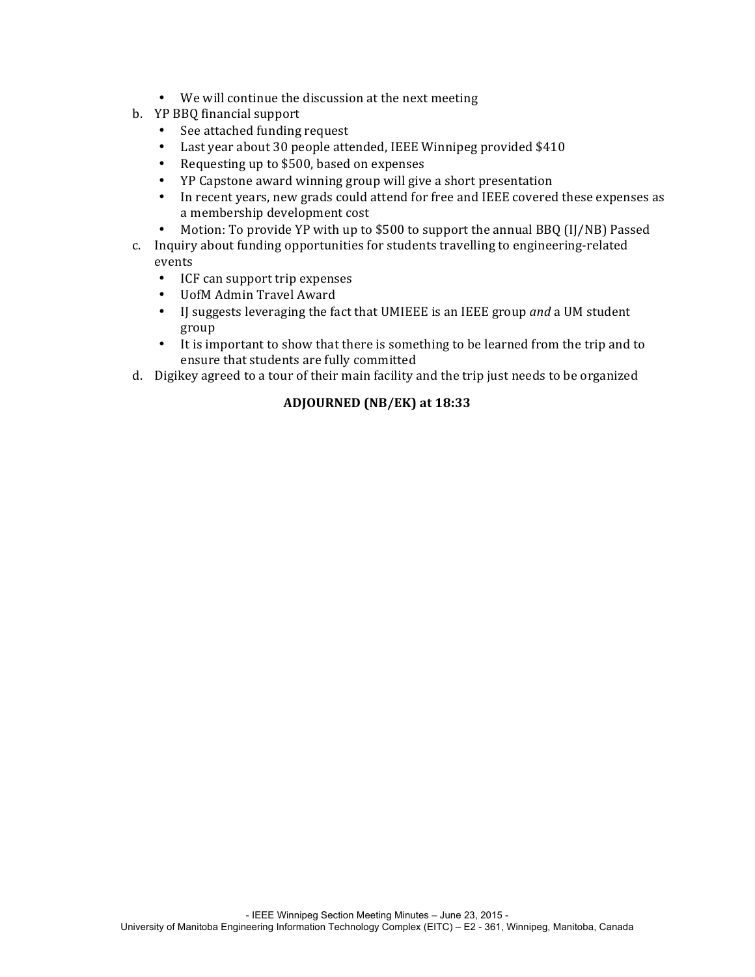- We will continue the discussion at the next meeting
- b. YP BBQ financial support
	- See attached funding request
	- Last year about 30 people attended, IEEE Winnipeg provided \$410
	- Requesting up to \$500, based on expenses
	- YP Capstone award winning group will give a short presentation
	- In recent years, new grads could attend for free and IEEE covered these expenses as a membership development cost
	- Motion: To provide YP with up to \$500 to support the annual BBQ (IJ/NB) Passed
- c. Inquiry about funding opportunities for students travelling to engineering-related events
	- ICF can support trip expenses
	- UofM Admin Travel Award
	- IJ suggests leveraging the fact that UMIEEE is an IEEE group *and* a UM student group
	- It is important to show that there is something to be learned from the trip and to ensure that students are fully committed
- d. Digikey agreed to a tour of their main facility and the trip just needs to be organized

## **ADJOURNED (NB/EK) at 18:33**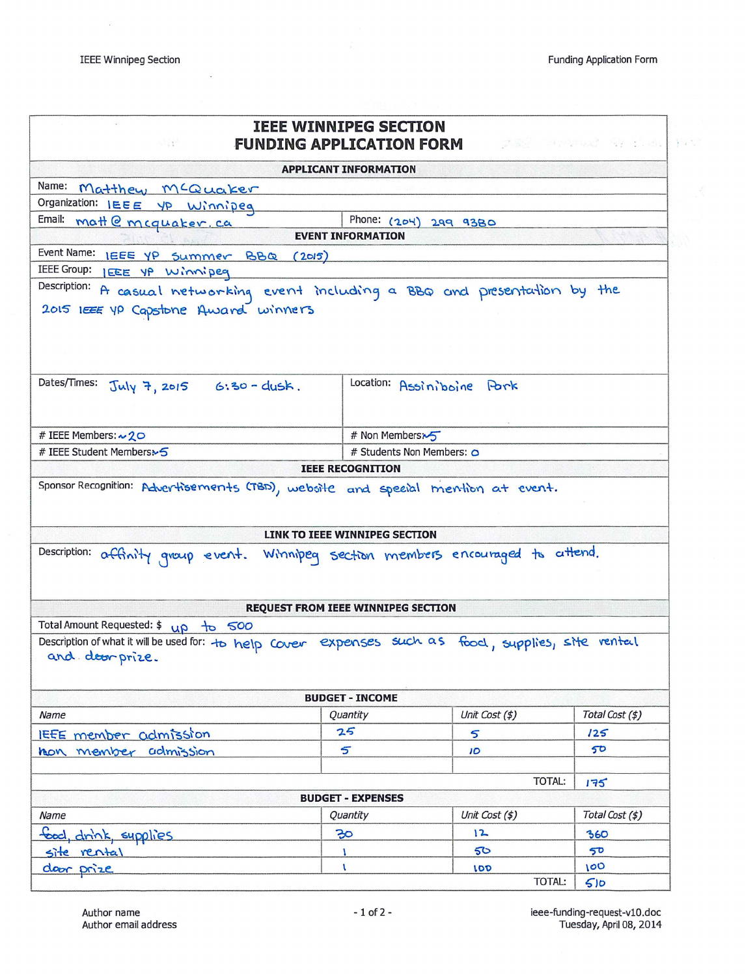$\overline{\mathcal{D}}$ 

 $\mathbf{g}$ 

|                                                                                                                        | <b>IEEE WINNIPEG SECTION</b>              |                                                             |                 |  |
|------------------------------------------------------------------------------------------------------------------------|-------------------------------------------|-------------------------------------------------------------|-----------------|--|
| si pri                                                                                                                 |                                           | <b>FUNDING APPLICATION FORM AND RESIDENCE AND RESIDENCE</b> |                 |  |
|                                                                                                                        | <b>APPLICANT INFORMATION</b>              |                                                             |                 |  |
| Name: Matthew MCQuaker                                                                                                 |                                           |                                                             |                 |  |
| Organization: IEEE YP Winnipeg                                                                                         | Phone: $(204)$                            |                                                             |                 |  |
| Email: matt @ mcquaker.ca                                                                                              | <b>EVENT INFORMATION</b>                  | 299 9380                                                    |                 |  |
| Event Name: LEEE YP Summer BBQ (2015)                                                                                  |                                           |                                                             |                 |  |
| IEEE Group: IEEE YP Winnipeg                                                                                           |                                           |                                                             |                 |  |
| Description: A casual networking event including a BBQ and presentation by the                                         |                                           |                                                             |                 |  |
| 2015 LEEE YP Capstone Award winners                                                                                    |                                           |                                                             |                 |  |
|                                                                                                                        |                                           |                                                             |                 |  |
|                                                                                                                        |                                           |                                                             |                 |  |
|                                                                                                                        |                                           |                                                             |                 |  |
| Dates/Times:<br>$July 7, 2015 6:30 - dush.$                                                                            |                                           | Location: Assiniboine Pork                                  |                 |  |
|                                                                                                                        |                                           |                                                             |                 |  |
|                                                                                                                        |                                           |                                                             |                 |  |
| # IEEE Members: ~ 20                                                                                                   |                                           | # Non Members                                               |                 |  |
| # IEEE Student Members>5                                                                                               |                                           | # Students Non Members: 0                                   |                 |  |
|                                                                                                                        | <b>IEEE RECOGNITION</b>                   |                                                             |                 |  |
| Description: affinity group event. Winnipeg section members encouraged to attend.                                      | LINK TO IEEE WINNIPEG SECTION             |                                                             |                 |  |
|                                                                                                                        |                                           |                                                             |                 |  |
|                                                                                                                        | <b>REQUEST FROM IEEE WINNIPEG SECTION</b> |                                                             |                 |  |
| Total Amount Requested: \$ up to 500                                                                                   |                                           |                                                             |                 |  |
| Description of what it will be used for: to help Cover expenses such as food, supplies, site ventel<br>and door prize. |                                           |                                                             |                 |  |
|                                                                                                                        | <b>BUDGET - INCOME</b>                    |                                                             |                 |  |
| Name                                                                                                                   | Quantity                                  | Unit Cost (\$)                                              | Total Cost (\$) |  |
| IEEE member admission                                                                                                  | 25                                        | 5                                                           | 125             |  |
| hon member admission                                                                                                   | 5                                         | 10                                                          | 50              |  |
|                                                                                                                        |                                           |                                                             |                 |  |
| <b>TOTAL:</b>                                                                                                          |                                           |                                                             | 175             |  |
|                                                                                                                        | <b>BUDGET - EXPENSES</b>                  |                                                             |                 |  |
| Name                                                                                                                   | Quantity                                  | Unit Cost (\$)                                              | Total Cost (\$) |  |
| food, drink, supplies                                                                                                  | 30 <sub>o</sub>                           | 12                                                          | 360             |  |
|                                                                                                                        | $\mathbf{I}$                              | 50                                                          | 50              |  |
| site rental<br>door prize                                                                                              | $\mathbf{I}$                              | LOD                                                         | 100             |  |
|                                                                                                                        |                                           | TOTAL:                                                      | 510             |  |